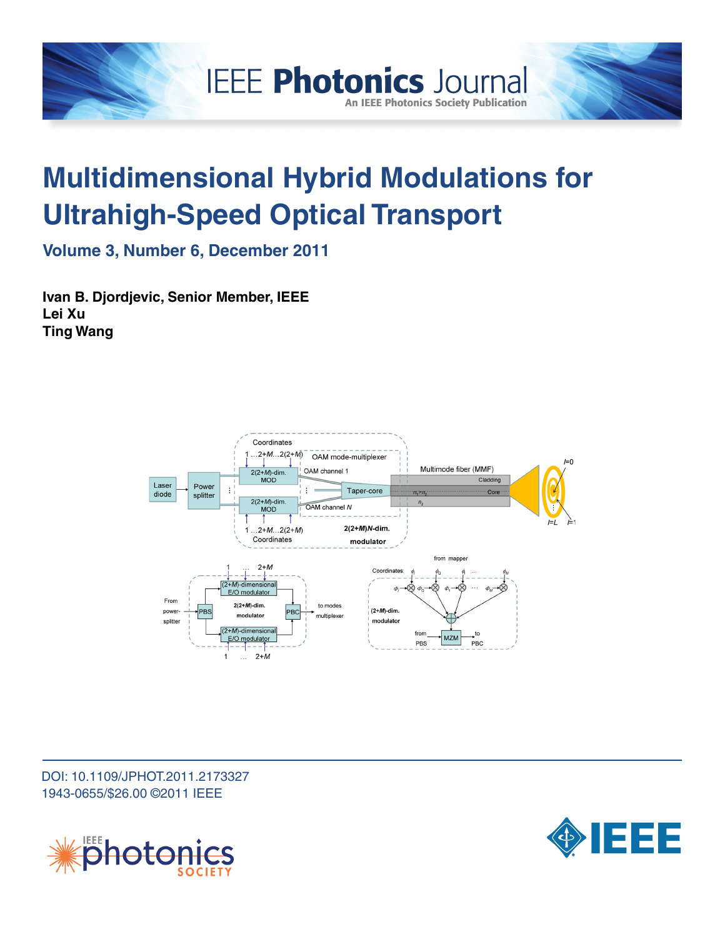

# **Multidimensional Hybrid Modulations for Ultrahigh-Speed Optical Transport**

**An IEEE Photonics Society Publication** 

**Volume 3, Number 6, December 2011**

**Ivan B. Djordjevic, Senior Member, IEEE Lei Xu Ting Wang**



DOI: 10.1109/JPHOT.2011.2173327 1943-0655/\$26.00 ©2011 IEEE



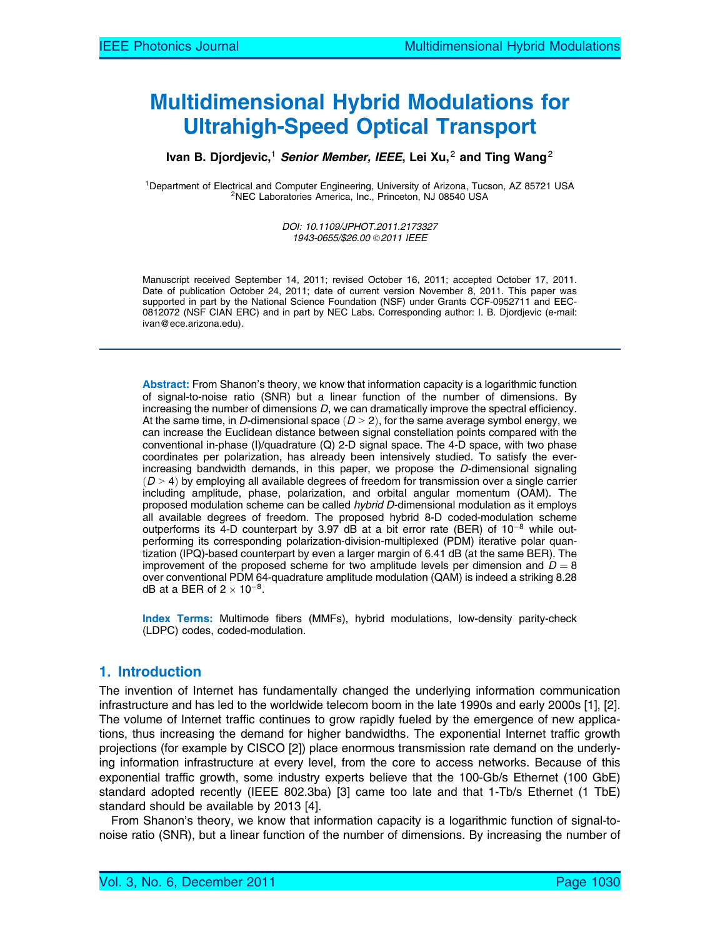# Multidimensional Hybrid Modulations for Ultrahigh-Speed Optical Transport

#### Ivan B. Djordjevic,<sup>1</sup> Senior Member, IEEE, Lei Xu,<sup>2</sup> and Ting Wang<sup>2</sup>

<sup>1</sup>Department of Electrical and Computer Engineering, University of Arizona, Tucson, AZ 85721 USA<br><sup>2</sup>NEC Laboratories America, Inc., Princeton, NJ 08540 USA

DOI: 10.1109/JPHOT.2011.2173327 1943-0655/\$26.00 2011 IEEE

Manuscript received September 14, 2011; revised October 16, 2011; accepted October 17, 2011. Date of publication October 24, 2011; date of current version November 8, 2011. This paper was supported in part by the National Science Foundation (NSF) under Grants CCF-0952711 and EEC-0812072 (NSF CIAN ERC) and in part by NEC Labs. Corresponding author: I. B. Djordjevic (e-mail: ivan@ece.arizona.edu).

Abstract: From Shanon's theory, we know that information capacity is a logarithmic function of signal-to-noise ratio (SNR) but a linear function of the number of dimensions. By increasing the number of dimensions D, we can dramatically improve the spectral efficiency. At the same time, in D-dimensional space  $(D > 2)$ , for the same average symbol energy, we can increase the Euclidean distance between signal constellation points compared with the conventional in-phase (I)/quadrature (Q) 2-D signal space. The 4-D space, with two phase coordinates per polarization, has already been intensively studied. To satisfy the everincreasing bandwidth demands, in this paper, we propose the D-dimensional signaling  $(D > 4)$  by employing all available degrees of freedom for transmission over a single carrier including amplitude, phase, polarization, and orbital angular momentum (OAM). The proposed modulation scheme can be called hybrid D-dimensional modulation as it employs all available degrees of freedom. The proposed hybrid 8-D coded-modulation scheme outperforms its 4-D counterpart by 3.97 dB at a bit error rate (BER) of  $10^{-8}$  while outperforming its corresponding polarization-division-multiplexed (PDM) iterative polar quantization (IPQ)-based counterpart by even a larger margin of 6.41 dB (at the same BER). The improvement of the proposed scheme for two amplitude levels per dimension and  $D = 8$ over conventional PDM 64-quadrature amplitude modulation (QAM) is indeed a striking 8.28 dB at a BER of 2  $\times$  10 $^{-8}$ .

Index Terms: Multimode fibers (MMFs), hybrid modulations, low-density parity-check (LDPC) codes, coded-modulation.

## 1. Introduction

The invention of Internet has fundamentally changed the underlying information communication infrastructure and has led to the worldwide telecom boom in the late 1990s and early 2000s [1], [2]. The volume of Internet traffic continues to grow rapidly fueled by the emergence of new applications, thus increasing the demand for higher bandwidths. The exponential Internet traffic growth projections (for example by CISCO [2]) place enormous transmission rate demand on the underlying information infrastructure at every level, from the core to access networks. Because of this exponential traffic growth, some industry experts believe that the 100-Gb/s Ethernet (100 GbE) standard adopted recently (IEEE 802.3ba) [3] came too late and that 1-Tb/s Ethernet (1 TbE) standard should be available by 2013 [4].

From Shanon's theory, we know that information capacity is a logarithmic function of signal-tonoise ratio (SNR), but a linear function of the number of dimensions. By increasing the number of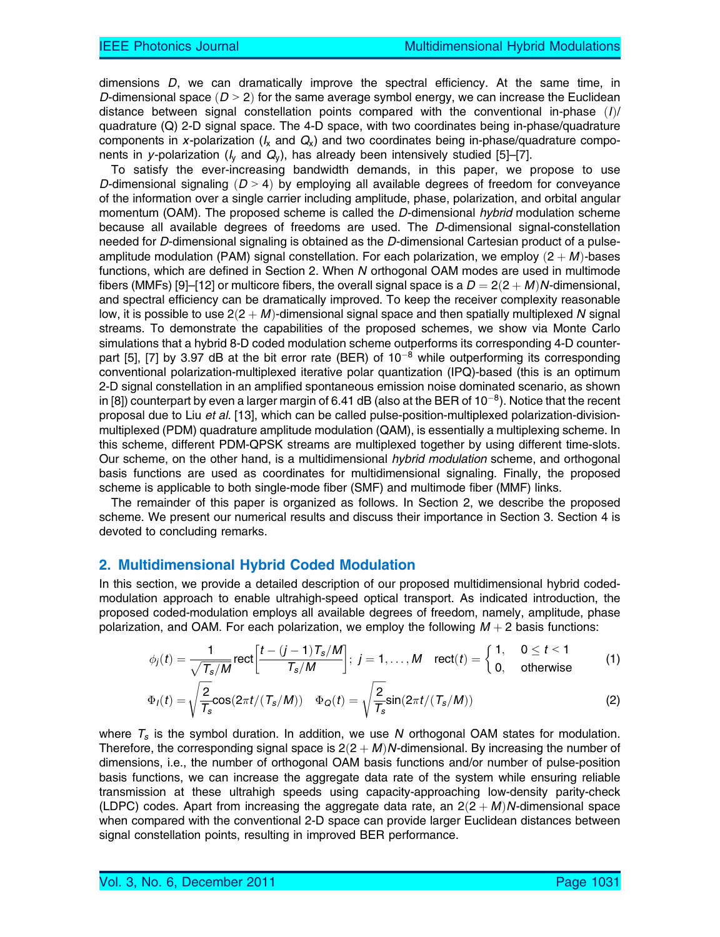dimensions D, we can dramatically improve the spectral efficiency. At the same time, in D-dimensional space  $(D > 2)$  for the same average symbol energy, we can increase the Euclidean distance between signal constellation points compared with the conventional in-phase  $(I)$ quadrature (Q) 2-D signal space. The 4-D space, with two coordinates being in-phase/quadrature components in x-polarization ( $I_x$  and  $Q_x$ ) and two coordinates being in-phase/quadrature components in y-polarization ( $I_v$  and  $Q_v$ ), has already been intensively studied [5]–[7].

To satisfy the ever-increasing bandwidth demands, in this paper, we propose to use D-dimensional signaling  $(D > 4)$  by employing all available degrees of freedom for conveyance of the information over a single carrier including amplitude, phase, polarization, and orbital angular momentum (OAM). The proposed scheme is called the D-dimensional hybrid modulation scheme because all available degrees of freedoms are used. The D-dimensional signal-constellation needed for D-dimensional signaling is obtained as the D-dimensional Cartesian product of a pulseamplitude modulation (PAM) signal constellation. For each polarization, we employ  $(2 + M)$ -bases functions, which are defined in Section 2. When N orthogonal OAM modes are used in multimode fibers (MMFs) [9]–[12] or multicore fibers, the overall signal space is a  $D = 2(2 + M)N$ -dimensional, and spectral efficiency can be dramatically improved. To keep the receiver complexity reasonable low, it is possible to use  $2(2 + M)$ -dimensional signal space and then spatially multiplexed N signal streams. To demonstrate the capabilities of the proposed schemes, we show via Monte Carlo simulations that a hybrid 8-D coded modulation scheme outperforms its corresponding 4-D counterpart [5], [7] by 3.97 dB at the bit error rate (BER) of  $10^{-8}$  while outperforming its corresponding conventional polarization-multiplexed iterative polar quantization (IPQ)-based (this is an optimum 2-D signal constellation in an amplified spontaneous emission noise dominated scenario, as shown in [8]) counterpart by even a larger margin of 6.41 dB (also at the BER of  $10^{-8}$ ). Notice that the recent proposal due to Liu et al. [13], which can be called pulse-position-multiplexed polarization-divisionmultiplexed (PDM) quadrature amplitude modulation (QAM), is essentially a multiplexing scheme. In this scheme, different PDM-QPSK streams are multiplexed together by using different time-slots. Our scheme, on the other hand, is a multidimensional hybrid modulation scheme, and orthogonal basis functions are used as coordinates for multidimensional signaling. Finally, the proposed scheme is applicable to both single-mode fiber (SMF) and multimode fiber (MMF) links.

The remainder of this paper is organized as follows. In Section 2, we describe the proposed scheme. We present our numerical results and discuss their importance in Section 3. Section 4 is devoted to concluding remarks.

#### 2. Multidimensional Hybrid Coded Modulation

In this section, we provide a detailed description of our proposed multidimensional hybrid codedmodulation approach to enable ultrahigh-speed optical transport. As indicated introduction, the proposed coded-modulation employs all available degrees of freedom, namely, amplitude, phase polarization, and OAM. For each polarization, we employ the following  $M + 2$  basis functions:

$$
\phi_j(t) = \frac{1}{\sqrt{T_s/M}} \text{rect}\bigg[\frac{t - (j-1)T_s/M}{T_s/M}\bigg]; \ j = 1, \ldots, M \quad \text{rect}(t) = \begin{cases} 1, & 0 \leq t < 1 \\ 0, & \text{otherwise} \end{cases}
$$
 (1)

$$
\Phi_I(t) = \sqrt{\frac{2}{T_s}} \cos(2\pi t/(T_s/M)) \quad \Phi_Q(t) = \sqrt{\frac{2}{T_s}} \sin(2\pi t/(T_s/M)) \tag{2}
$$

where  $T_s$  is the symbol duration. In addition, we use N orthogonal OAM states for modulation. Therefore, the corresponding signal space is  $2(2 + M)N$ -dimensional. By increasing the number of dimensions, i.e., the number of orthogonal OAM basis functions and/or number of pulse-position basis functions, we can increase the aggregate data rate of the system while ensuring reliable transmission at these ultrahigh speeds using capacity-approaching low-density parity-check (LDPC) codes. Apart from increasing the aggregate data rate, an  $2(2 + M)N$ -dimensional space when compared with the conventional 2-D space can provide larger Euclidean distances between signal constellation points, resulting in improved BER performance.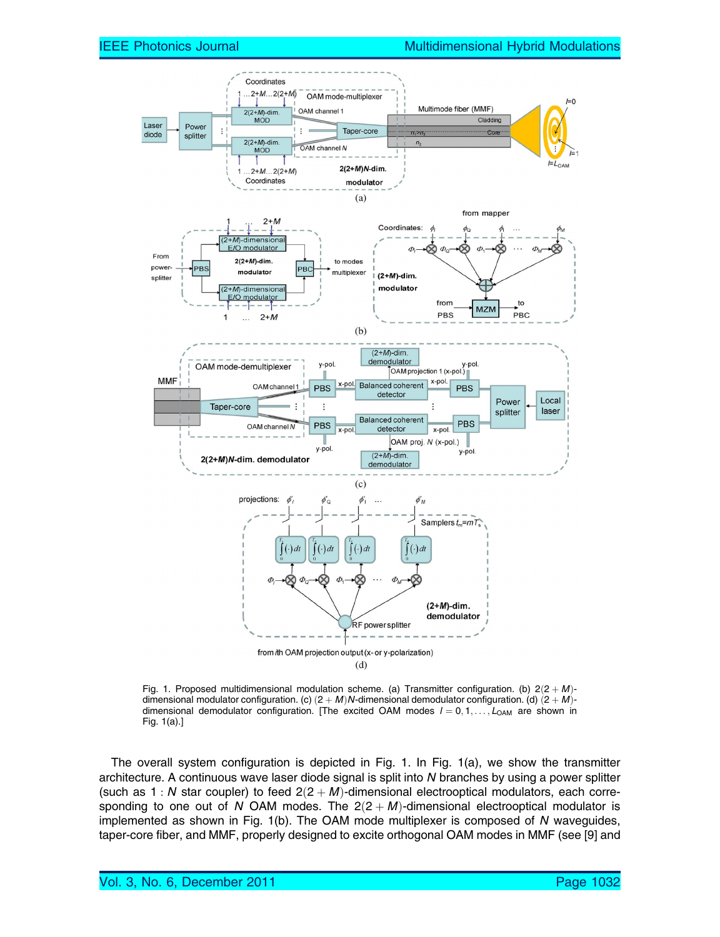

Fig. 1. Proposed multidimensional modulation scheme. (a) Transmitter configuration. (b)  $2(2 + M)$ dimensional modulator configuration. (c)  $(2 + M)N$ -dimensional demodulator configuration. (d)  $(2 + M)$ dimensional demodulator configuration. [The excited OAM modes  $l = 0, 1, \ldots, L_{OM}$  are shown in Fig. 1(a).]

The overall system configuration is depicted in Fig. 1. In Fig. 1(a), we show the transmitter architecture. A continuous wave laser diode signal is split into N branches by using a power splitter (such as 1 : N star coupler) to feed  $2(2 + M)$ -dimensional electrooptical modulators, each corresponding to one out of N OAM modes. The  $2(2 + M)$ -dimensional electrooptical modulator is implemented as shown in Fig. 1(b). The OAM mode multiplexer is composed of N waveguides, taper-core fiber, and MMF, properly designed to excite orthogonal OAM modes in MMF (see [9] and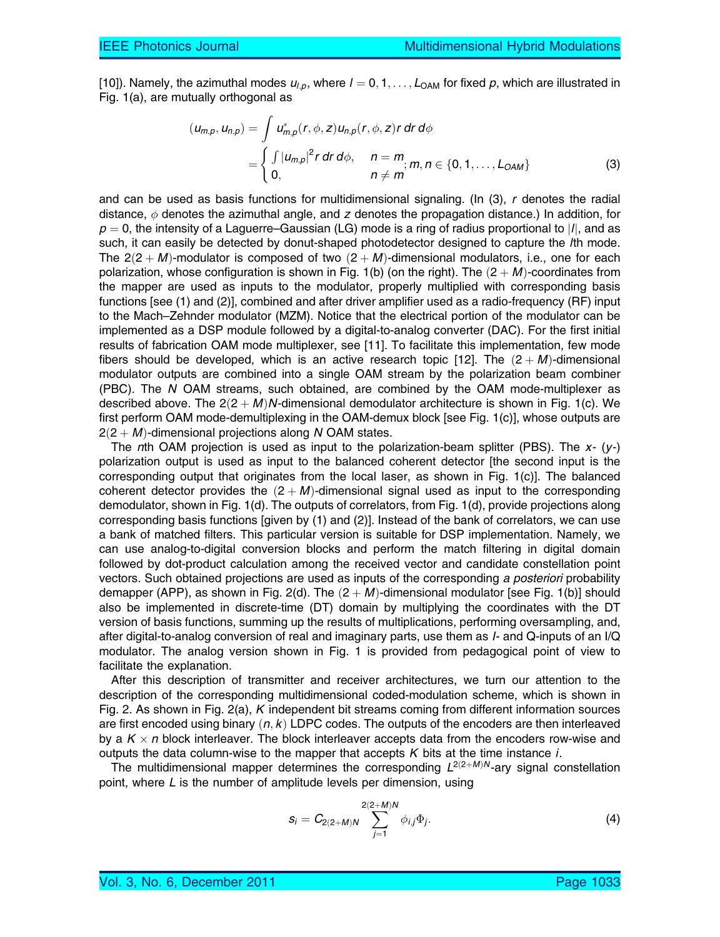[10]). Namely, the azimuthal modes  $u_{l,p}$ , where  $l = 0, 1, \ldots, L_{\text{OAM}}$  for fixed p, which are illustrated in Fig. 1(a), are mutually orthogonal as

$$
(u_{m,p}, u_{n,p}) = \int u_{m,p}^{*}(r, \phi, z) u_{n,p}(r, \phi, z) r dr d\phi
$$
  
= 
$$
\begin{cases} \int |u_{m,p}|^{2} r dr d\phi, & n = m \\ 0, & n \neq m \end{cases}; m, n \in \{0, 1, ..., L_{OAM}\}
$$
 (3)

and can be used as basis functions for multidimensional signaling. (In (3), r denotes the radial distance,  $\phi$  denotes the azimuthal angle, and z denotes the propagation distance.) In addition, for  $p = 0$ , the intensity of a Laguerre–Gaussian (LG) mode is a ring of radius proportional to |/|, and as such, it can easily be detected by donut-shaped photodetector designed to capture the lth mode. The  $2(2 + M)$ -modulator is composed of two  $(2 + M)$ -dimensional modulators, i.e., one for each polarization, whose configuration is shown in Fig. 1(b) (on the right). The  $(2 + M)$ -coordinates from the mapper are used as inputs to the modulator, properly multiplied with corresponding basis functions [see (1) and (2)], combined and after driver amplifier used as a radio-frequency (RF) input to the Mach–Zehnder modulator (MZM). Notice that the electrical portion of the modulator can be implemented as a DSP module followed by a digital-to-analog converter (DAC). For the first initial results of fabrication OAM mode multiplexer, see [11]. To facilitate this implementation, few mode fibers should be developed, which is an active research topic [12]. The  $(2 + M)$ -dimensional modulator outputs are combined into a single OAM stream by the polarization beam combiner (PBC). The N OAM streams, such obtained, are combined by the OAM mode-multiplexer as described above. The  $2(2 + M)N$ -dimensional demodulator architecture is shown in Fig. 1(c). We first perform OAM mode-demultiplexing in the OAM-demux block [see Fig. 1(c)], whose outputs are  $2(2 + M)$ -dimensional projections along N OAM states.

The nth OAM projection is used as input to the polarization-beam splitter (PBS). The  $x- (y-)$ polarization output is used as input to the balanced coherent detector [the second input is the corresponding output that originates from the local laser, as shown in Fig. 1(c)]. The balanced coherent detector provides the  $(2 + M)$ -dimensional signal used as input to the corresponding demodulator, shown in Fig. 1(d). The outputs of correlators, from Fig. 1(d), provide projections along corresponding basis functions [given by (1) and (2)]. Instead of the bank of correlators, we can use a bank of matched filters. This particular version is suitable for DSP implementation. Namely, we can use analog-to-digital conversion blocks and perform the match filtering in digital domain followed by dot-product calculation among the received vector and candidate constellation point vectors. Such obtained projections are used as inputs of the corresponding a posteriori probability demapper (APP), as shown in Fig. 2(d). The  $(2 + M)$ -dimensional modulator [see Fig. 1(b)] should also be implemented in discrete-time (DT) domain by multiplying the coordinates with the DT version of basis functions, summing up the results of multiplications, performing oversampling, and, after digital-to-analog conversion of real and imaginary parts, use them as I- and Q-inputs of an I/Q modulator. The analog version shown in Fig. 1 is provided from pedagogical point of view to facilitate the explanation.

After this description of transmitter and receiver architectures, we turn our attention to the description of the corresponding multidimensional coded-modulation scheme, which is shown in Fig. 2. As shown in Fig. 2(a), K independent bit streams coming from different information sources are first encoded using binary  $(n, k)$  LDPC codes. The outputs of the encoders are then interleaved by a  $K \times n$  block interleaver. The block interleaver accepts data from the encoders row-wise and outputs the data column-wise to the mapper that accepts  $K$  bits at the time instance  $i$ .

The multidimensional mapper determines the corresponding  $L^{2(2+M)N}$ -ary signal constellation point, where L is the number of amplitude levels per dimension, using

$$
s_i = C_{2(2+M)N} \sum_{j=1}^{2(2+M)N} \phi_{i,j} \Phi_j.
$$
 (4)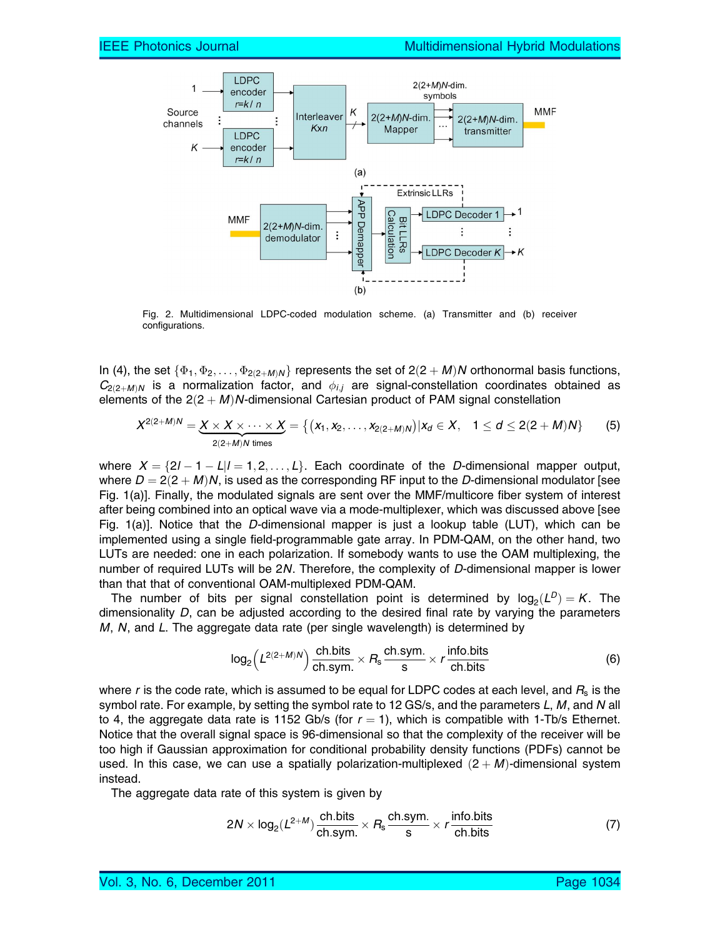

Fig. 2. Multidimensional LDPC-coded modulation scheme. (a) Transmitter and (b) receiver configurations.

In (4), the set  $\{\Phi_1,\Phi_2,\ldots,\Phi_{2(2+M)N}\}$  represents the set of  $2(2+M)N$  orthonormal basis functions,  $C_{2(2+MN)}$  is a normalization factor, and  $\phi_{i,j}$  are signal-constellation coordinates obtained as elements of the  $2(2 + M)N$ -dimensional Cartesian product of PAM signal constellation

$$
X^{2(2+M)N} = \underbrace{X \times X \times \cdots \times X}_{2(2+M)N \text{ times}} = \{ (x_1, x_2, \ldots, x_{2(2+M)N}) | x_d \in X, 1 \le d \le 2(2+M)N \}
$$
(5)

where  $X = \{2l - 1 - L|l = 1, 2, \ldots, L\}$ . Each coordinate of the D-dimensional mapper output, where  $D = 2(2 + M)N$ , is used as the corresponding RF input to the D-dimensional modulator [see Fig. 1(a)]. Finally, the modulated signals are sent over the MMF/multicore fiber system of interest after being combined into an optical wave via a mode-multiplexer, which was discussed above [see Fig. 1(a)]. Notice that the D-dimensional mapper is just a lookup table (LUT), which can be implemented using a single field-programmable gate array. In PDM-QAM, on the other hand, two LUTs are needed: one in each polarization. If somebody wants to use the OAM multiplexing, the number of required LUTs will be 2N. Therefore, the complexity of D-dimensional mapper is lower than that that of conventional OAM-multiplexed PDM-QAM.

The number of bits per signal constellation point is determined by  $log_2(L^D) = K$ . The dimensionality  $D$ , can be adjusted according to the desired final rate by varying the parameters  $M$ ,  $N$ , and  $L$ . The aggregate data rate (per single wavelength) is determined by

$$
\log_2\left(L^{2(2+M)N}\right) \frac{\text{ch.bits}}{\text{ch.sym.}} \times R_s \frac{\text{ch.sym.}}{\text{s}} \times r \frac{\text{info.bits}}{\text{ch.bits}} \tag{6}
$$

where r is the code rate, which is assumed to be equal for LDPC codes at each level, and  $R<sub>s</sub>$  is the symbol rate. For example, by setting the symbol rate to 12 GS/s, and the parameters  $L, M$ , and N all to 4, the aggregate data rate is 1152 Gb/s (for  $r = 1$ ), which is compatible with 1-Tb/s Ethernet. Notice that the overall signal space is 96-dimensional so that the complexity of the receiver will be too high if Gaussian approximation for conditional probability density functions (PDFs) cannot be used. In this case, we can use a spatially polarization-multiplexed  $(2 + M)$ -dimensional system instead.

The aggregate data rate of this system is given by

$$
2N \times \log_2(L^{2+M}) \frac{\text{ch.bits}}{\text{ch.sym.}} \times R_s \frac{\text{ch.sym.}}{\text{s}} \times r \frac{\text{info.bits}}{\text{ch.bits}} \tag{7}
$$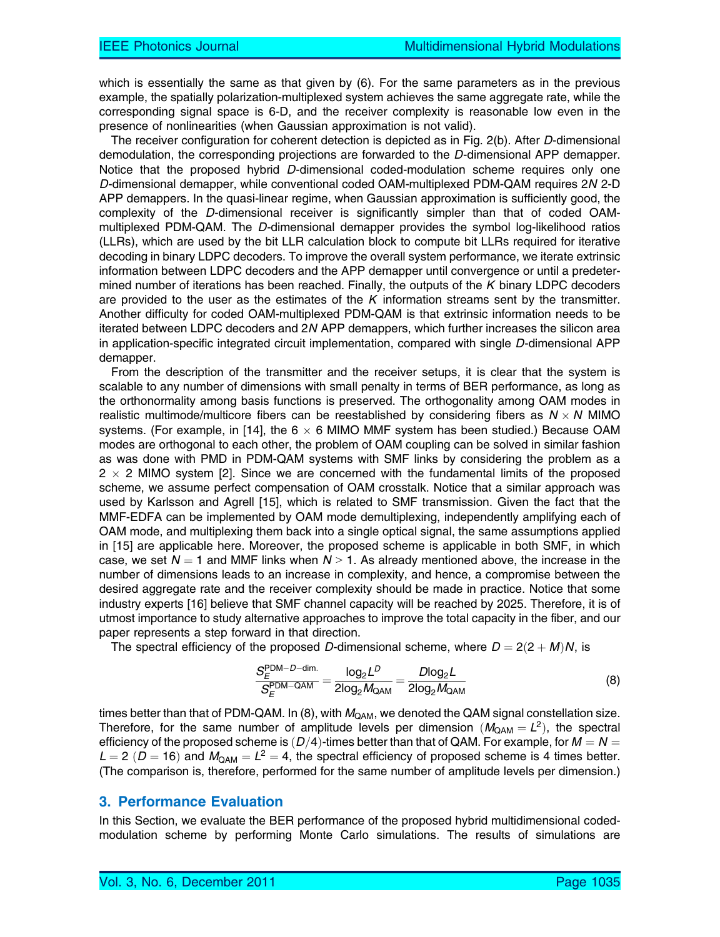which is essentially the same as that given by (6). For the same parameters as in the previous example, the spatially polarization-multiplexed system achieves the same aggregate rate, while the corresponding signal space is 6-D, and the receiver complexity is reasonable low even in the presence of nonlinearities (when Gaussian approximation is not valid).

The receiver configuration for coherent detection is depicted as in Fig. 2(b). After D-dimensional demodulation, the corresponding projections are forwarded to the D-dimensional APP demapper. Notice that the proposed hybrid D-dimensional coded-modulation scheme requires only one D-dimensional demapper, while conventional coded OAM-multiplexed PDM-QAM requires 2N 2-D APP demappers. In the quasi-linear regime, when Gaussian approximation is sufficiently good, the complexity of the D-dimensional receiver is significantly simpler than that of coded OAMmultiplexed PDM-QAM. The D-dimensional demapper provides the symbol log-likelihood ratios (LLRs), which are used by the bit LLR calculation block to compute bit LLRs required for iterative decoding in binary LDPC decoders. To improve the overall system performance, we iterate extrinsic information between LDPC decoders and the APP demapper until convergence or until a predetermined number of iterations has been reached. Finally, the outputs of the  $K$  binary LDPC decoders are provided to the user as the estimates of the  $K$  information streams sent by the transmitter. Another difficulty for coded OAM-multiplexed PDM-QAM is that extrinsic information needs to be iterated between LDPC decoders and 2N APP demappers, which further increases the silicon area in application-specific integrated circuit implementation, compared with single D-dimensional APP demapper.

From the description of the transmitter and the receiver setups, it is clear that the system is scalable to any number of dimensions with small penalty in terms of BER performance, as long as the orthonormality among basis functions is preserved. The orthogonality among OAM modes in realistic multimode/multicore fibers can be reestablished by considering fibers as  $N \times N$  MIMO systems. (For example, in [14], the 6  $\times$  6 MIMO MMF system has been studied.) Because OAM modes are orthogonal to each other, the problem of OAM coupling can be solved in similar fashion as was done with PMD in PDM-QAM systems with SMF links by considering the problem as a 2  $\times$  2 MIMO system [2]. Since we are concerned with the fundamental limits of the proposed scheme, we assume perfect compensation of OAM crosstalk. Notice that a similar approach was used by Karlsson and Agrell [15], which is related to SMF transmission. Given the fact that the MMF-EDFA can be implemented by OAM mode demultiplexing, independently amplifying each of OAM mode, and multiplexing them back into a single optical signal, the same assumptions applied in [15] are applicable here. Moreover, the proposed scheme is applicable in both SMF, in which case, we set  $N = 1$  and MMF links when  $N > 1$ . As already mentioned above, the increase in the number of dimensions leads to an increase in complexity, and hence, a compromise between the desired aggregate rate and the receiver complexity should be made in practice. Notice that some industry experts [16] believe that SMF channel capacity will be reached by 2025. Therefore, it is of utmost importance to study alternative approaches to improve the total capacity in the fiber, and our paper represents a step forward in that direction.

The spectral efficiency of the proposed D-dimensional scheme, where  $D = 2(2 + M)N$ , is

$$
\frac{S_E^{\text{PDM}-\text{D-dim.}}}{S_E^{\text{PDM}-\text{QAM}}} = \frac{\log_2 L^D}{2\log_2 M_{\text{QAM}}} = \frac{D\log_2 L}{2\log_2 M_{\text{QAM}}}
$$
(8)

times better than that of PDM-QAM. In (8), with  $M_{\text{OAM}}$ , we denoted the QAM signal constellation size. Therefore, for the same number of amplitude levels per dimension ( $M_{QAM} = L^2$ ), the spectral efficiency of the proposed scheme is  $(D/4)$ -times better than that of QAM. For example, for  $M = N =$  $L = 2$  ( $D = 16$ ) and  $M_{QAM} = L^2 = 4$ , the spectral efficiency of proposed scheme is 4 times better. (The comparison is, therefore, performed for the same number of amplitude levels per dimension.)

#### 3. Performance Evaluation

In this Section, we evaluate the BER performance of the proposed hybrid multidimensional codedmodulation scheme by performing Monte Carlo simulations. The results of simulations are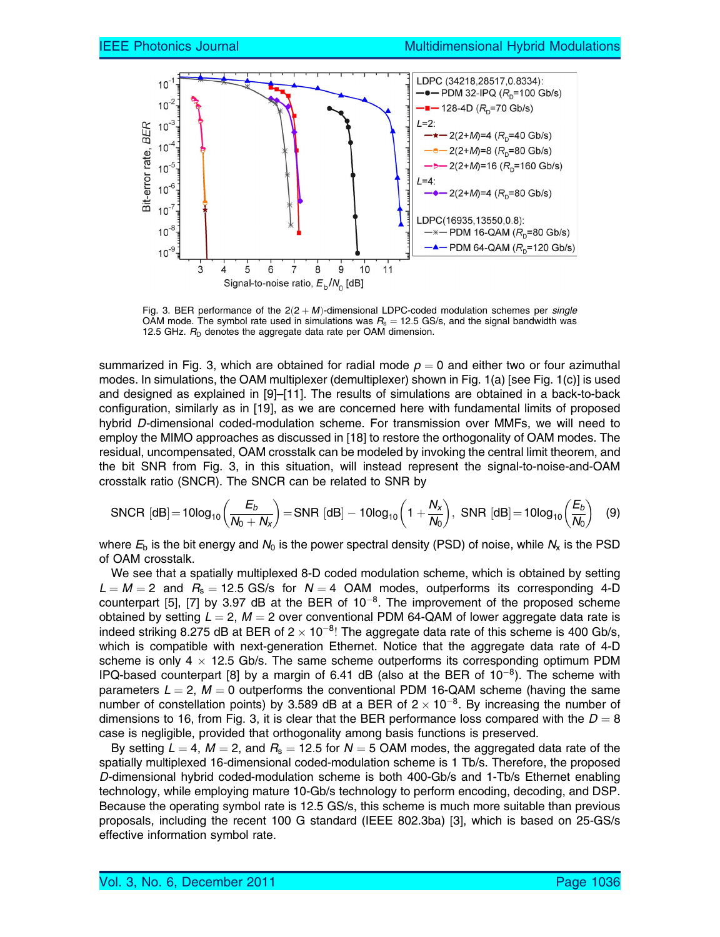

Fig. 3. BER performance of the  $2(2 + M)$ -dimensional LDPC-coded modulation schemes per single OAM mode. The symbol rate used in simulations was  $R_s = 12.5$  GS/s, and the signal bandwidth was 12.5 GHz.  $R_D$  denotes the aggregate data rate per OAM dimension.

summarized in Fig. 3, which are obtained for radial mode  $p = 0$  and either two or four azimuthal modes. In simulations, the OAM multiplexer (demultiplexer) shown in Fig. 1(a) [see Fig. 1(c)] is used and designed as explained in [9]–[11]. The results of simulations are obtained in a back-to-back configuration, similarly as in [19], as we are concerned here with fundamental limits of proposed hybrid D-dimensional coded-modulation scheme. For transmission over MMFs, we will need to employ the MIMO approaches as discussed in [18] to restore the orthogonality of OAM modes. The residual, uncompensated, OAM crosstalk can be modeled by invoking the central limit theorem, and the bit SNR from Fig. 3, in this situation, will instead represent the signal-to-noise-and-OAM crosstalk ratio (SNCR). The SNCR can be related to SNR by

$$
\text{SNCR [dB]} = 10 \log_{10} \left( \frac{E_b}{N_0 + N_x} \right) = \text{SNR [dB]} - 10 \log_{10} \left( 1 + \frac{N_x}{N_0} \right), \text{ SNR [dB]} = 10 \log_{10} \left( \frac{E_b}{N_0} \right) \tag{9}
$$

where  $E_b$  is the bit energy and  $N_0$  is the power spectral density (PSD) of noise, while  $N_x$  is the PSD of OAM crosstalk.

We see that a spatially multiplexed 8-D coded modulation scheme, which is obtained by setting  $L = M = 2$  and  $R_s = 12.5$  GS/s for  $N = 4$  OAM modes, outperforms its corresponding 4-D counterpart [5], [7] by 3.97 dB at the BER of  $10^{-8}$ . The improvement of the proposed scheme obtained by setting  $L = 2$ ,  $M = 2$  over conventional PDM 64-QAM of lower aggregate data rate is indeed striking 8.275 dB at BER of 2  $\times$  10<sup>-8</sup>! The aggregate data rate of this scheme is 400 Gb/s, which is compatible with next-generation Ethernet. Notice that the aggregate data rate of 4-D scheme is only 4  $\times$  12.5 Gb/s. The same scheme outperforms its corresponding optimum PDM IPQ-based counterpart [8] by a margin of 6.41 dB (also at the BER of  $10^{-8}$ ). The scheme with parameters  $L = 2$ ,  $M = 0$  outperforms the conventional PDM 16-QAM scheme (having the same number of constellation points) by 3.589 dB at a BER of 2  $\times$  10<sup>-8</sup>. By increasing the number of dimensions to 16, from Fig. 3, it is clear that the BER performance loss compared with the  $D = 8$ case is negligible, provided that orthogonality among basis functions is preserved.

By setting  $L = 4$ ,  $M = 2$ , and  $R_s = 12.5$  for  $N = 5$  OAM modes, the aggregated data rate of the spatially multiplexed 16-dimensional coded-modulation scheme is 1 Tb/s. Therefore, the proposed D-dimensional hybrid coded-modulation scheme is both 400-Gb/s and 1-Tb/s Ethernet enabling technology, while employing mature 10-Gb/s technology to perform encoding, decoding, and DSP. Because the operating symbol rate is 12.5 GS/s, this scheme is much more suitable than previous proposals, including the recent 100 G standard (IEEE 802.3ba) [3], which is based on 25-GS/s effective information symbol rate.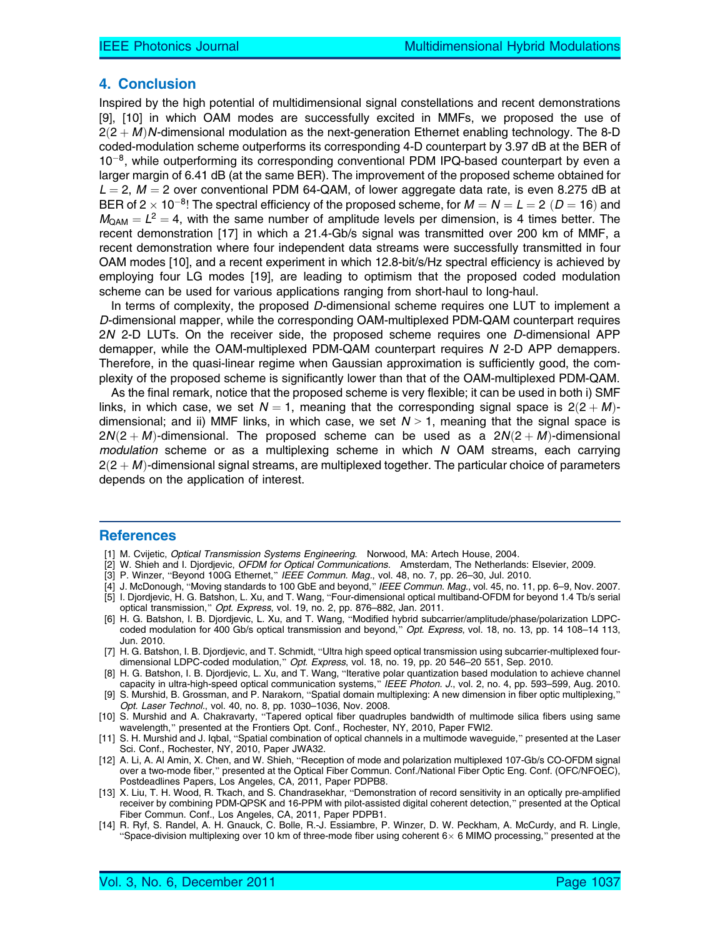### 4. Conclusion

Inspired by the high potential of multidimensional signal constellations and recent demonstrations [9], [10] in which OAM modes are successfully excited in MMFs, we proposed the use of  $2(2 + M)N$ -dimensional modulation as the next-generation Ethernet enabling technology. The 8-D coded-modulation scheme outperforms its corresponding 4-D counterpart by 3.97 dB at the BER of  $10^{-8}$ , while outperforming its corresponding conventional PDM IPQ-based counterpart by even a larger margin of 6.41 dB (at the same BER). The improvement of the proposed scheme obtained for  $L = 2$ ,  $M = 2$  over conventional PDM 64-QAM, of lower aggregate data rate, is even 8.275 dB at BER of 2  $\times$  10 $^{-8}$ ! The spectral efficiency of the proposed scheme, for  $M = N = L =$  2  $(D =$  16) and  $M_{\text{OAM}} = L^2 = 4$ , with the same number of amplitude levels per dimension, is 4 times better. The recent demonstration [17] in which a 21.4-Gb/s signal was transmitted over 200 km of MMF, a recent demonstration where four independent data streams were successfully transmitted in four OAM modes [10], and a recent experiment in which 12.8-bit/s/Hz spectral efficiency is achieved by employing four LG modes [19], are leading to optimism that the proposed coded modulation scheme can be used for various applications ranging from short-haul to long-haul.

In terms of complexity, the proposed D-dimensional scheme requires one LUT to implement a D-dimensional mapper, while the corresponding OAM-multiplexed PDM-QAM counterpart requires 2N 2-D LUTs. On the receiver side, the proposed scheme requires one D-dimensional APP demapper, while the OAM-multiplexed PDM-QAM counterpart requires N 2-D APP demappers. Therefore, in the quasi-linear regime when Gaussian approximation is sufficiently good, the complexity of the proposed scheme is significantly lower than that of the OAM-multiplexed PDM-QAM.

As the final remark, notice that the proposed scheme is very flexible; it can be used in both i) SMF links, in which case, we set  $N = 1$ , meaning that the corresponding signal space is  $2(2 + M)$ dimensional; and ii) MMF links, in which case, we set  $N > 1$ , meaning that the signal space is  $2N(2 + M)$ -dimensional. The proposed scheme can be used as a  $2N(2 + M)$ -dimensional  $modulation$  scheme or as a multiplexing scheme in which  $N$  OAM streams, each carrying  $2(2 + M)$ -dimensional signal streams, are multiplexed together. The particular choice of parameters depends on the application of interest.

#### **References**

- [1] M. Cvijetic, Optical Transmission Systems Engineering. Norwood, MA: Artech House, 2004.
- [2] W. Shieh and I. Djordjevic, OFDM for Optical Communications. Amsterdam, The Netherlands: Elsevier, 2009.
- [3] P. Winzer, "Beyond 100G Ethernet," *IEEE Commun. Mag.*, vol. 48, no. 7, pp. 26–30, Jul. 2010.
- [4] J. McDonough, "Moving standards to 100 GbE and beyond," *IEEE Commun. Mag.*, vol. 45, no. 11, pp. 6–9, Nov. 2007.
- [5] I. Djordjevic, H. G. Batshon, L. Xu, and T. Wang, "Four-dimensional optical multiband-OFDM for beyond 1.4 Tb/s serial optical transmission," Opt. Express, vol. 19, no. 2, pp. 876–882, Jan. 2011.
- [6] H. G. Batshon, I. B. Djordjevic, L. Xu, and T. Wang, "Modified hybrid subcarrier/amplitude/phase/polarization LDPCcoded modulation for 400 Gb/s optical transmission and beyond," Opt. Express, vol. 18, no. 13, pp. 14 108–14 113, Jun. 2010.
- [7] H. G. Batshon, I. B. Djordjevic, and T. Schmidt, "Ultra high speed optical transmission using subcarrier-multiplexed fourdimensional LDPC-coded modulation," Opt. Express, vol. 18, no. 19, pp. 20 546–20 551, Sep. 2010.
- [8] H. G. Batshon, I. B. Djordjevic, L. Xu, and T. Wang, "Iterative polar quantization based modulation to achieve channel capacity in ultra-high-speed optical communication systems," IEEE Photon. J., vol. 2, no. 4, pp. 593–599, Aug. 2010.
- [9] S. Murshid, B. Grossman, and P. Narakorn, "Spatial domain multiplexing: A new dimension in fiber optic multiplexing," Opt. Laser Technol., vol. 40, no. 8, pp. 1030–1036, Nov. 2008.
- [10] S. Murshid and A. Chakravarty, "Tapered optical fiber quadruples bandwidth of multimode silica fibers using same wavelength," presented at the Frontiers Opt. Conf., Rochester, NY, 2010, Paper FWI2.
- [11] S. H. Murshid and J. Iqbal, "Spatial combination of optical channels in a multimode waveguide," presented at the Laser Sci. Conf., Rochester, NY, 2010, Paper JWA32.
- [12] A. Li, A. Al Amin, X. Chen, and W. Shieh, "Reception of mode and polarization multiplexed 107-Gb/s CO-OFDM signal over a two-mode fiber," presented at the Optical Fiber Commun. Conf./National Fiber Optic Eng. Conf. (OFC/NFOEC), Postdeadlines Papers, Los Angeles, CA, 2011, Paper PDPB8.
- [13] X. Liu, T. H. Wood, R. Tkach, and S. Chandrasekhar, "Demonstration of record sensitivity in an optically pre-amplified receiver by combining PDM-QPSK and 16-PPM with pilot-assisted digital coherent detection," presented at the Optical Fiber Commun. Conf., Los Angeles, CA, 2011, Paper PDPB1.
- [14] R. Ryf, S. Randel, A. H. Gnauck, C. Bolle, R.-J. Essiambre, P. Winzer, D. W. Peckham, A. McCurdy, and R. Lingle, "Space-division multiplexing over 10 km of three-mode fiber using coherent 6 $\times$  6 MIMO processing," presented at the